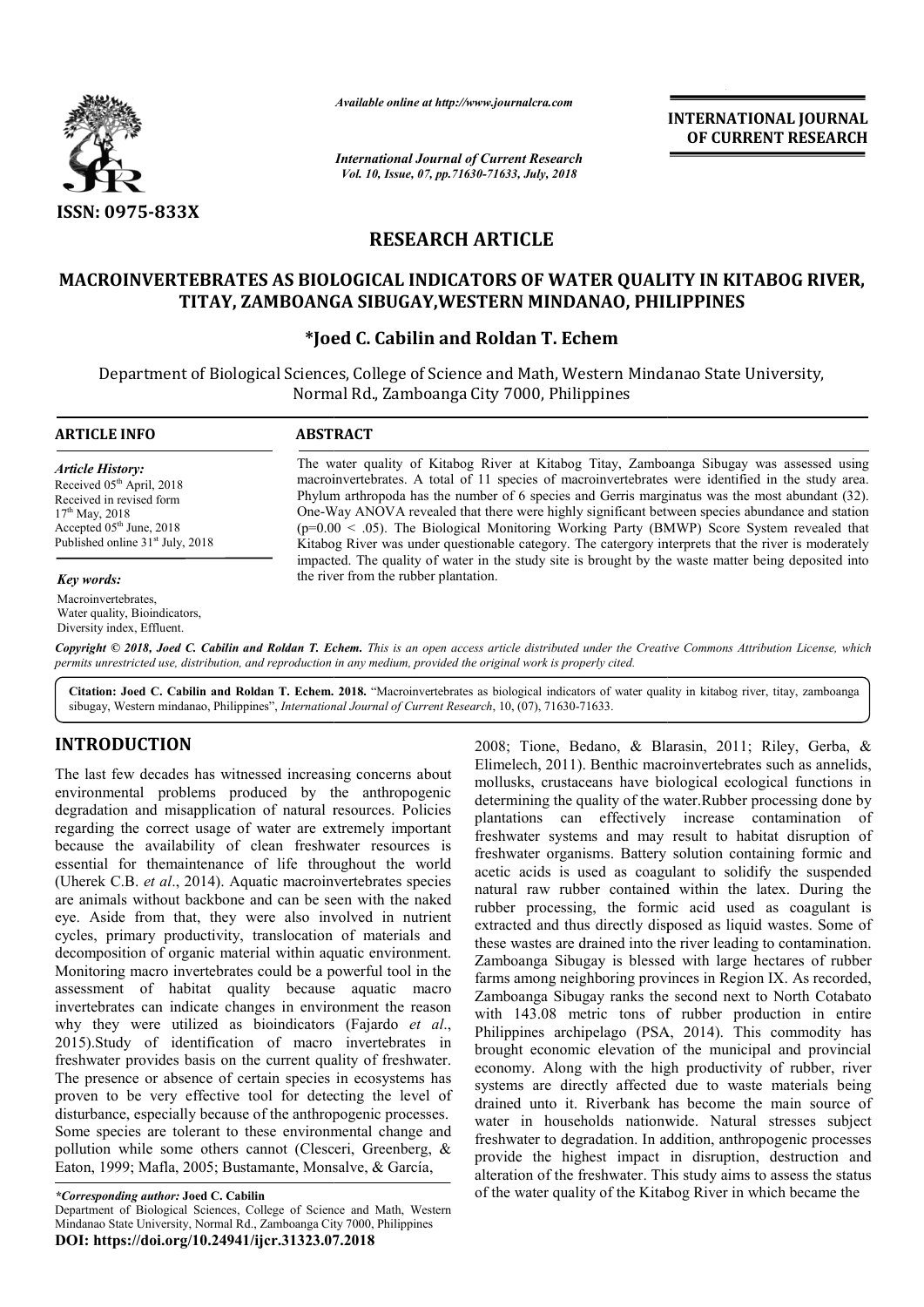

*Available online at http://www.journalcra.com*

*International Journal of Current Research Vol. 10, Issue, 07, pp.71630-71633, July, 2018*

**INTERNATIONAL JOURNAL OF CURRENT RESEARCH**

# **RESEARCH ARTICLE**

## **MACROINVERTEBRATES AS BIOLOGICAL INDICATORS OF WATER QUALITY IN KITABOG RIVER, MACROINVERTEBRATES AS ZAMBOANGA SIBUGAY,WESTERN TITAY, ZAMBOANGA SIBUGAY,WESTERN MINDANAO, PHILIPPINES**

### **\*Joed C. Cabilin and Roldan T. Echem Joed**

Department of Biological Sciences, College of Science and Math, Western Mindanao State University, Normal Rd., Zamboanga City 7000, Philippines

#### **ARTICLE INFO ABSTRACT** The water quality of Kitabog River at Kitabog Titay, Zamboanga Sibugay was assessed using macroinvertebrates. A total of 11 species of macroinvertebrates were identified in the study area. Phylum arthropoda has the number of 6 species and Gerris marginatus was the most abundant (32). *Article History:* Received 05<sup>th</sup> April, 2018 Received in revised form The water quality of Kitabog River at Kitabog Titay, Zamboanga Sibugay was assessed using macroinvertebrates. A total of 11 species of macroinvertebrates were identified in the study area.<br>Phylum arthropoda has the number

17<sup>th</sup> May, 2018 Accepted 05<sup>th</sup> June, 2018 Published online 31<sup>st</sup> July, 2018

*Key words:*

Macroinvertebrates, Water quality, Bioindicators, Diversity index, Effluent.

One-Way ANOVA revealed that there were highly significant between species abundance and station (p=0.00 < .05). The Biological Monitoring Working Party (BMWP) Score System revealed that Kitabog River was under questionable category. The catergory interprets that the river is moderately One-Way ANOVA revealed that there were highly significant between species abundance and station ( $p=0.00 < .05$ ). The Biological Monitoring Working Party (BMWP) Score System revealed that Kitabog River was under questionabl the river from the rubber plantation. Way ANOVA revealed that there were highly significant between species abundance and station  $.00 < .05$ ). The Biological Monitoring Working Party (BMWP) Score System revealed that  $\log$  River was under questionable category.

Copyright © 2018, Joed C. Cabilin and Roldan T. Echem. This is an open access article distributed under the Creative Commons Attribution License, which permits unrestricted use, distribution, and reproduction in any medium, provided the original work is properly cited.

Citation: Joed C. Cabilin and Roldan T. Echem. 2018. "Macroinvertebrates as biological indicators of water quality in kitabog river, titay, zamboanga sibugay, Western mindanao, Philippines", *International Journal of Current Research* , 10, (07), 71630-71633.

# **INTRODUCTION**

The last few decades has witnessed increasing concerns about environmental problems produced by the anthropogenic degradation and misapplication of natural resources. Policies regarding the correct usage of water are extremely important because the availability of clean freshwater resources is essential for themaintenance of life throughout the world (Uherek C.B. *et al*., 2014). Aquatic macroinvertebrates species are animals without backbone and can be seen with the naked eye. Aside from that, they were also involved in nutrient cycles, primary productivity, translocation of materials and decomposition of organic material within aquatic environment. Monitoring macro invertebrates could be a powerful tool in the assessment of habitat quality because aquatic macro invertebrates can indicate changes in environment the reason why they were utilized as bioindicators (Fajardo *et al*., 2015).Study of identification of macro invertebrates in freshwater provides basis on the current quality of freshwater. The presence or absence of certain species in ecosystems has proven to be very effective tool for detecting the level of disturbance, especially because of the anthropogenic processes. Some species are tolerant to these environmental change and pollution while some others cannot (Clesceri, Greenberg, & Eaton, 1999; Mafla, 2005; Bustamante, Monsalve, & García, pollution while some others cannot (Clesceri, Greenberg, & Eaton, 1999; Mafla, 2005; Bustamante, Monsalve, & García,<br>
\*Corresponding author: Joed C. Cabilin<br>
Department of Biological Sciences, College of Science and Math,

Mindanao State University, Normal Rd., Zamboanga City 7000, Philippines

**DOI: https://doi.org/10.24941/ijcr.31323.07.2018**

2008; Tione, Bedano, & Blarasin, 2011; Riley, Gerba, and the material concerns about Elimelech, 2011; Riley, Gerba, & Renamilis, the anthropogenic mollusks, crustaceans have biological ecological functions in I resources. Elimelech, 2011). Benthic macroinvertebrates such as annelids, mollusks, crustaceans have biological ecological functions in determining the quality of the water. Rubber processing done by plantations can effectively increase contamination of plantations can effectively increase contamination of freshwater systems and may result to habitat disruption of freshwater organisms. Battery solution containing formic and acetic acids is used as coagulant to solidify the suspended natural raw rubber contained within the latex. During the rubber processing, the formic acid used as coagulant is extracted and thus directly disposed as liquid wastes. Some of these wastes are drained into the river leading to contamination. Zamboanga Sibugay is blessed with large hectares of rubber farms among neighboring provinces in Region IX. As recorded, these wastes are drained into the river leading to contamination.<br>Zamboanga Sibugay is blessed with large hectares of rubber<br>farms among neighboring provinces in Region IX. As recorded,<br>Zamboanga Sibugay ranks the second n with 143.08 metric tons of rubber production in entire Philippines archipelago (PSA, 2014). This commodity has brought economic elevation of the municipal and provincial economy. Along with the high productivity of rubber, river systems are directly affected due to waste materials being drained unto it. Riverbank has become the main source of water in households nationwide. Natural stresses subject freshwater to degradation. In addition, anthropogenic processes provide the highest impact in disruption, destruction and alteration of the freshwater. This study aims to assess the status of the water quality of the Kitabog River in which became the 2008; Tione, Bedano, & Blarasin, 2011; Riley, Gerba, & Elimelech, 2011). Benthic macroinvertebrates such as annelids, mollusks, crustaceans have biological ecological functions in determining the quality of the water.Rubbe ganisms. Battery solution containing formic and<br>is used as coagulant to solidify the suspended<br>rubber contained within the latex. During the<br>essing, the formic acid used as coagulant is<br>thus directly disposed as liquid was with 143.08 metric tons of rubber production in entire<br>Philippines archipelago (PSA, 2014). This commodity has<br>brought economic elevation of the municipal and provincial<br>economy. Along with the high productivity of rubber, **INTERNATIONAL JOURNAL FIFERNATIONAL JOURNAL FIFERNATIONAL JOURNAL FIFERNATIONAL TO THE CONSULT THE CONSULT CHEMENT RESEARCH (1633, July, 2018)<br>
<b>RTICLE**<br> **RTICLE**<br> **RTICLE**<br> **RTICLE**<br> **RTICLE**<br> **RTICLE**<br> **RTICLE**<br> **RTICLE** 

*<sup>\*</sup>Corresponding author:* **Joed C. Cabilin**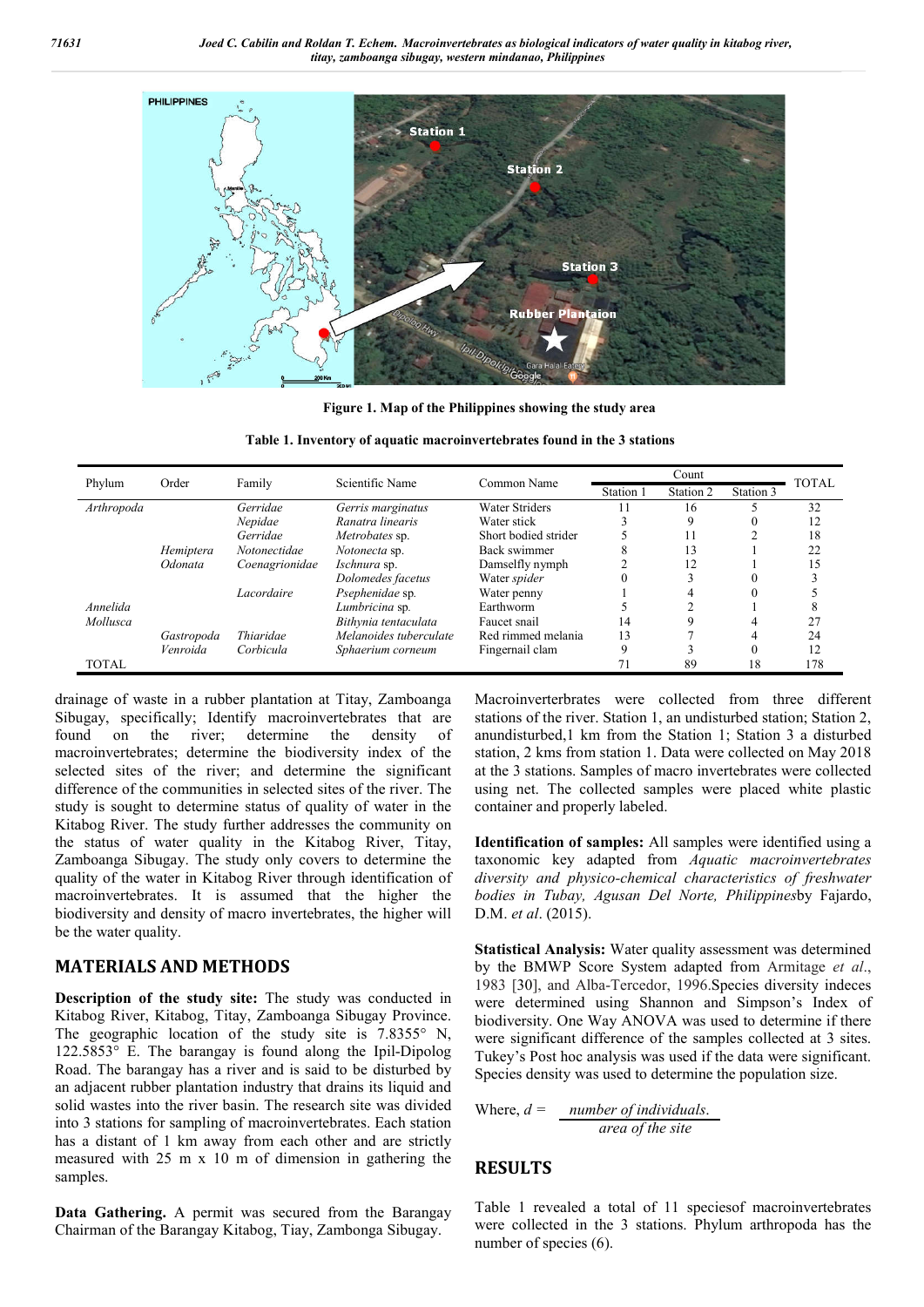

**Figure 1. Map of the Philippines showing the study area**

|  | Table 1. Inventory of aquatic macroinvertebrates found in the 3 stations |  |
|--|--------------------------------------------------------------------------|--|
|  |                                                                          |  |

| Phylum       | Order      | Family         | Scientific Name        | Common Name           |           | Count     |           | <b>TOTAL</b> |
|--------------|------------|----------------|------------------------|-----------------------|-----------|-----------|-----------|--------------|
|              |            |                |                        |                       | Station 1 | Station 2 | Station 3 |              |
| Arthropoda   |            | Gerridae       | Gerris marginatus      | <b>Water Striders</b> |           | 16        |           | 32           |
|              |            | Nepidae        | Ranatra linearis       | Water stick           |           | q         |           | 12           |
|              |            | Gerridae       | Metrobates sp.         | Short bodied strider  |           | 11        |           | 18           |
|              | Hemiptera  | Notonectidae   | Notonecta sp.          | Back swimmer          |           | 13        |           | 22           |
|              | Odonata    | Coenagrionidae | Ischnura sp.           | Damselfly nymph       |           | 12        |           | 15           |
|              |            |                | Dolomedes facetus      | Water spider          |           |           |           |              |
|              |            | Lacordaire     | Psephenidae sp.        | Water penny           |           | 4         | 0         |              |
| Annelida     |            |                | Lumbricina sp.         | Earthworm             |           |           |           |              |
| Mollusca     |            |                | Bithynia tentaculata   | Faucet snail          | 14        | Q         |           | 27           |
|              | Gastropoda | Thiaridae      | Melanoides tuberculate | Red rimmed melania    | 13        |           |           | 24           |
|              | Venroida   | Corbicula      | Sphaerium corneum      | Fingernail clam       |           |           | 0         | 12           |
| <b>TOTAL</b> |            |                |                        |                       |           | 89        | 18        | 178          |

drainage of waste in a rubber plantation at Titay, Zamboanga Sibugay, specifically; Identify macroinvertebrates that are found on the river; determine the density of macroinvertebrates; determine the biodiversity index of the selected sites of the river; and determine the significant difference of the communities in selected sites of the river. The study is sought to determine status of quality of water in the Kitabog River. The study further addresses the community on the status of water quality in the Kitabog River, Titay, Zamboanga Sibugay. The study only covers to determine the quality of the water in Kitabog River through identification of macroinvertebrates. It is assumed that the higher the biodiversity and density of macro invertebrates, the higher will be the water quality.

### **MATERIALS AND METHODS**

**Description of the study site:** The study was conducted in Kitabog River, Kitabog, Titay, Zamboanga Sibugay Province. The geographic location of the study site is 7.8355° N, 122.5853° E. The barangay is found along the Ipil-Dipolog Road. The barangay has a river and is said to be disturbed by an adjacent rubber plantation industry that drains its liquid and solid wastes into the river basin. The research site was divided into 3 stations for sampling of macroinvertebrates. Each station has a distant of 1 km away from each other and are strictly measured with 25 m x 10 m of dimension in gathering the samples.

**Data Gathering.** A permit was secured from the Barangay Chairman of the Barangay Kitabog, Tiay, Zambonga Sibugay.

Macroinverterbrates were collected from three different stations of the river. Station 1, an undisturbed station; Station 2, anundisturbed,1 km from the Station 1; Station 3 a disturbed station, 2 kms from station 1. Data were collected on May 2018 at the 3 stations. Samples of macro invertebrates were collected using net. The collected samples were placed white plastic container and properly labeled.

**Identification of samples:** All samples were identified using a taxonomic key adapted from *Aquatic macroinvertebrates diversity and physico-chemical characteristics of freshwater bodies in Tubay, Agusan Del Norte, Philippines*by Fajardo, D.M. *et al*. (2015).

**Statistical Analysis:** Water quality assessment was determined by the BMWP Score System adapted from Armitage *et al*., 1983 [30], and Alba-Tercedor, 1996.Species diversity indeces were determined using Shannon and Simpson's Index of biodiversity. One Way ANOVA was used to determine if there were significant difference of the samples collected at 3 sites. Tukey's Post hoc analysis was used if the data were significant. Species density was used to determine the population size.

Where, *d = number of individuals*. *area of the site*

### **RESULTS**

Table 1 revealed a total of 11 speciesof macroinvertebrates were collected in the 3 stations. Phylum arthropoda has the number of species  $(6)$ .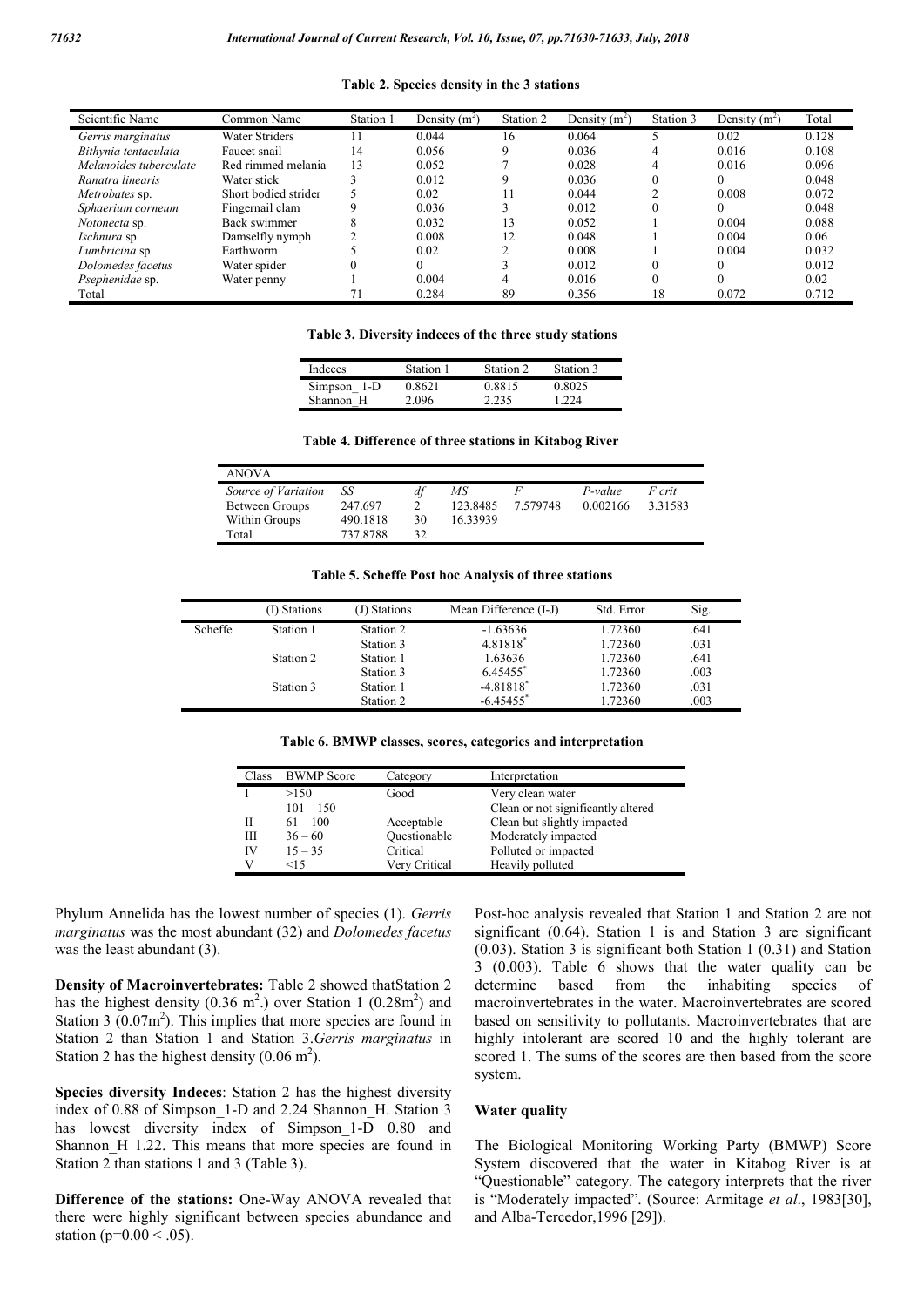**Table 2. Species density in the 3 stations**

| Scientific Name        | Common Name           | Station 1 | Density $(m^2)$ | Station 2 | Density $(m^2)$ | Station 3 | Density $(m^2)$ | Total |
|------------------------|-----------------------|-----------|-----------------|-----------|-----------------|-----------|-----------------|-------|
| Gerris marginatus      | <b>Water Striders</b> |           | 0.044           | 16        | 0.064           |           | 0.02            | 0.128 |
| Bithynia tentaculata   | Faucet snail          | 14        | 0.056           | 9         | 0.036           | 4         | 0.016           | 0.108 |
| Melanoides tuberculate | Red rimmed melania    | 13        | 0.052           |           | 0.028           | 4         | 0.016           | 0.096 |
| Ranatra linearis       | Water stick           |           | 0.012           | 9         | 0.036           |           |                 | 0.048 |
| Metrobates sp.         | Short bodied strider  |           | 0.02            | 11        | 0.044           |           | 0.008           | 0.072 |
| Sphaerium corneum      | Fingernail clam       |           | 0.036           |           | 0.012           |           |                 | 0.048 |
| <i>Notonecta</i> sp.   | Back swimmer          |           | 0.032           | 13        | 0.052           |           | 0.004           | 0.088 |
| <i>Ischnura</i> sp.    | Damselfly nymph       |           | 0.008           | 12        | 0.048           |           | 0.004           | 0.06  |
| Lumbricina sp.         | Earthworm             |           | 0.02            |           | 0.008           |           | 0.004           | 0.032 |
| Dolomedes facetus      | Water spider          |           |                 |           | 0.012           |           |                 | 0.012 |
| Psephenidae sp.        | Water penny           |           | 0.004           |           | 0.016           |           |                 | 0.02  |
| Total                  |                       |           | 0.284           | 89        | 0.356           | 18        | 0.072           | 0.712 |

**Table 3. Diversity indeces of the three study stations**

| Indeces     | Station 1 | Station 2 | Station 3 |
|-------------|-----------|-----------|-----------|
| Simpson 1-D | 0.8621    | 0.8815    | 0.8025    |
| Shannon H   | 2.096     | 2.235     | 1 224     |

|  |  | Table 4. Difference of three stations in Kitabog River |  |  |  |  |
|--|--|--------------------------------------------------------|--|--|--|--|
|--|--|--------------------------------------------------------|--|--|--|--|

| <b>ANOVA</b>        |          |    |          |          |          |               |
|---------------------|----------|----|----------|----------|----------|---------------|
| Source of Variation | SS       | df | МS       |          | P-value  | <i>F</i> crit |
| Between Groups      | 247.697  |    | 123.8485 | 7 579748 | 0.002166 | 3.31583       |
| Within Groups       | 490.1818 | 30 | 16.33939 |          |          |               |
| Total               | 737.8788 | 32 |          |          |          |               |

**Table 5. Scheffe Post hoc Analysis of three stations**

|         | (I) Stations | (J) Stations | Mean Difference (I-J)   | Std. Error | Sig. |  |
|---------|--------------|--------------|-------------------------|------------|------|--|
| Scheffe | Station 1    | Station 2    | $-1.63636$              | 1.72360    | .641 |  |
|         |              | Station 3    | 4.81818*                | 1.72360    | .031 |  |
|         | Station 2    | Station 1    | 1.63636                 | 1.72360    | .641 |  |
|         |              | Station 3    | 6.45455*                | 1.72360    | .003 |  |
|         | Station 3    | Station 1    | $-4.81818$ <sup>*</sup> | 1.72360    | .031 |  |
|         |              | Station 2    | $-6.45455$ <sup>*</sup> | 1.72360    | .003 |  |
|         |              |              |                         |            |      |  |

**Table 6. BMWP classes, scores, categories and interpretation**

| <b>BWMP</b> Score | Category      | Interpretation                     |
|-------------------|---------------|------------------------------------|
| >150              | Good          | Very clean water                   |
| $101 - 150$       |               | Clean or not significantly altered |
| $61 - 100$        | Acceptable    | Clean but slightly impacted        |
| $36 - 60$         | Ouestionable  | Moderately impacted                |
| $15 - 35$         | Critical      | Polluted or impacted               |
| <15               | Very Critical | Heavily polluted                   |
|                   |               |                                    |

Phylum Annelida has the lowest number of species (1). *Gerris marginatus* was the most abundant (32) and *Dolomedes facetus*  was the least abundant (3).

**Density of Macroinvertebrates:** Table 2 showed thatStation 2 has the highest density (0.36 m<sup>2</sup>.) over Station 1 (0.28m<sup>2</sup>) and Station  $3(0.07m^2)$ . This implies that more species are found in Station 2 than Station 1 and Station 3.*Gerris marginatus* in Station 2 has the highest density  $(0.06 \text{ m}^2)$ .

**Species diversity Indeces**: Station 2 has the highest diversity index of 0.88 of Simpson\_1-D and 2.24 Shannon\_H. Station 3 has lowest diversity index of Simpson\_1-D 0.80 and Shannon H 1.22. This means that more species are found in Station 2 than stations 1 and 3 (Table 3).

**Difference of the stations:** One-Way ANOVA revealed that there were highly significant between species abundance and station ( $p=0.00 < .05$ ).

Post-hoc analysis revealed that Station 1 and Station 2 are not significant (0.64). Station 1 is and Station 3 are significant (0.03). Station 3 is significant both Station 1 (0.31) and Station 3 (0.003). Table 6 shows that the water quality can be determine based from the inhabiting species of macroinvertebrates in the water. Macroinvertebrates are scored based on sensitivity to pollutants. Macroinvertebrates that are highly intolerant are scored 10 and the highly tolerant are scored 1. The sums of the scores are then based from the score system.

#### **Water quality**

The Biological Monitoring Working Party (BMWP) Score System discovered that the water in Kitabog River is at "Questionable" category. The category interprets that the river is "Moderately impacted". (Source: Armitage *et al*., 1983[30], and Alba-Tercedor,1996 [29]).